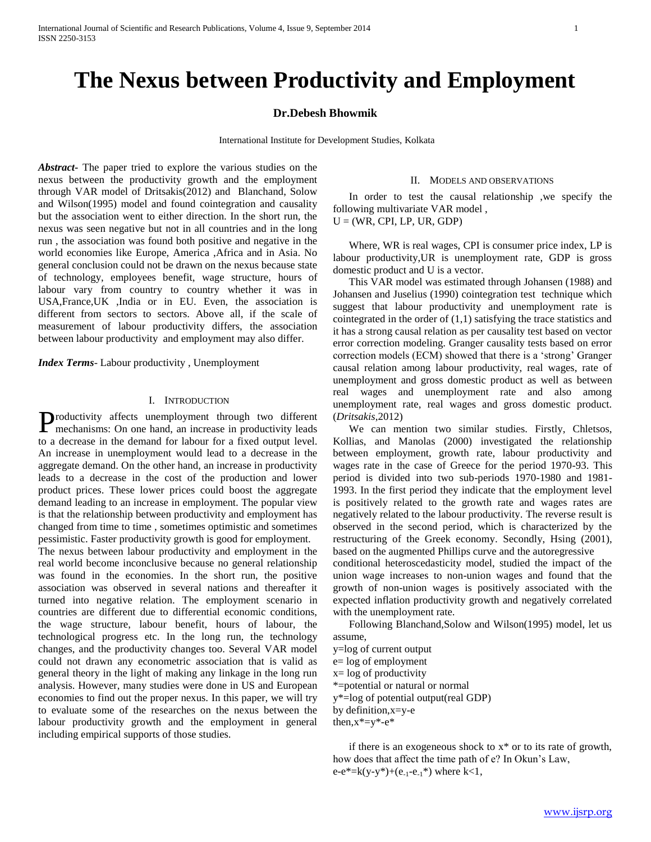# **The Nexus between Productivity and Employment**

## **Dr.Debesh Bhowmik**

International Institute for Development Studies, Kolkata

*Abstract***-** The paper tried to explore the various studies on the nexus between the productivity growth and the employment through VAR model of Dritsakis(2012) and Blanchand, Solow and Wilson(1995) model and found cointegration and causality but the association went to either direction. In the short run, the nexus was seen negative but not in all countries and in the long run , the association was found both positive and negative in the world economies like Europe, America ,Africa and in Asia. No general conclusion could not be drawn on the nexus because state of technology, employees benefit, wage structure, hours of labour vary from country to country whether it was in USA,France,UK ,India or in EU. Even, the association is different from sectors to sectors. Above all, if the scale of measurement of labour productivity differs, the association between labour productivity and employment may also differ.

*Index Terms*- Labour productivity , Unemployment

### I. INTRODUCTION

roductivity affects unemployment through two different Productivity affects unemployment through two different mechanisms: On one hand, an increase in productivity leads to a decrease in the demand for labour for a fixed output level. An increase in unemployment would lead to a decrease in the aggregate demand. On the other hand, an increase in productivity leads to a decrease in the cost of the production and lower product prices. These lower prices could boost the aggregate demand leading to an increase in employment. The popular view is that the relationship between productivity and employment has changed from time to time , sometimes optimistic and sometimes pessimistic. Faster productivity growth is good for employment.

The nexus between labour productivity and employment in the real world become inconclusive because no general relationship was found in the economies. In the short run, the positive association was observed in several nations and thereafter it turned into negative relation. The employment scenario in countries are different due to differential economic conditions, the wage structure, labour benefit, hours of labour, the technological progress etc. In the long run, the technology changes, and the productivity changes too. Several VAR model could not drawn any econometric association that is valid as general theory in the light of making any linkage in the long run analysis. However, many studies were done in US and European economies to find out the proper nexus. In this paper, we will try to evaluate some of the researches on the nexus between the labour productivity growth and the employment in general including empirical supports of those studies.

## II. MODELS AND OBSERVATIONS

 In order to test the causal relationship ,we specify the following multivariate VAR model ,  $U = (WR, CPI, LP, UR, GDP)$ 

 Where, WR is real wages, CPI is consumer price index, LP is labour productivity,UR is unemployment rate, GDP is gross domestic product and U is a vector.

 This VAR model was estimated through Johansen (1988) and Johansen and Juselius (1990) cointegration test technique which suggest that labour productivity and unemployment rate is cointegrated in the order of (1,1) satisfying the trace statistics and it has a strong causal relation as per causality test based on vector error correction modeling. Granger causality tests based on error correction models (ECM) showed that there is a 'strong' Granger causal relation among labour productivity, real wages, rate of unemployment and gross domestic product as well as between real wages and unemployment rate and also among unemployment rate, real wages and gross domestic product. (*Dritsakis*,2012)

 We can mention two similar studies. Firstly, Chletsos, Kollias, and Manolas (2000) investigated the relationship between employment, growth rate, labour productivity and wages rate in the case of Greece for the period 1970-93. This period is divided into two sub-periods 1970-1980 and 1981- 1993. In the first period they indicate that the employment level is positively related to the growth rate and wages rates are negatively related to the labour productivity. The reverse result is observed in the second period, which is characterized by the restructuring of the Greek economy. Secondly, Hsing (2001), based on the augmented Phillips curve and the autoregressive

conditional heteroscedasticity model, studied the impact of the union wage increases to non-union wages and found that the growth of non-union wages is positively associated with the expected inflation productivity growth and negatively correlated with the unemployment rate.

 Following Blanchand,Solow and Wilson(1995) model, let us assume,

y=log of current output e= log of employment  $x = log of productivity$ \*=potential or natural or normal y\*=log of potential output(real GDP) by definition,x=y-e then, $x^* = y^* - e^*$ 

 if there is an exogeneous shock to x\* or to its rate of growth, how does that affect the time path of e? In Okun's Law, e-e\*=k(y-y\*)+(e<sub>-1</sub>-e<sub>-1</sub>\*) where k<1,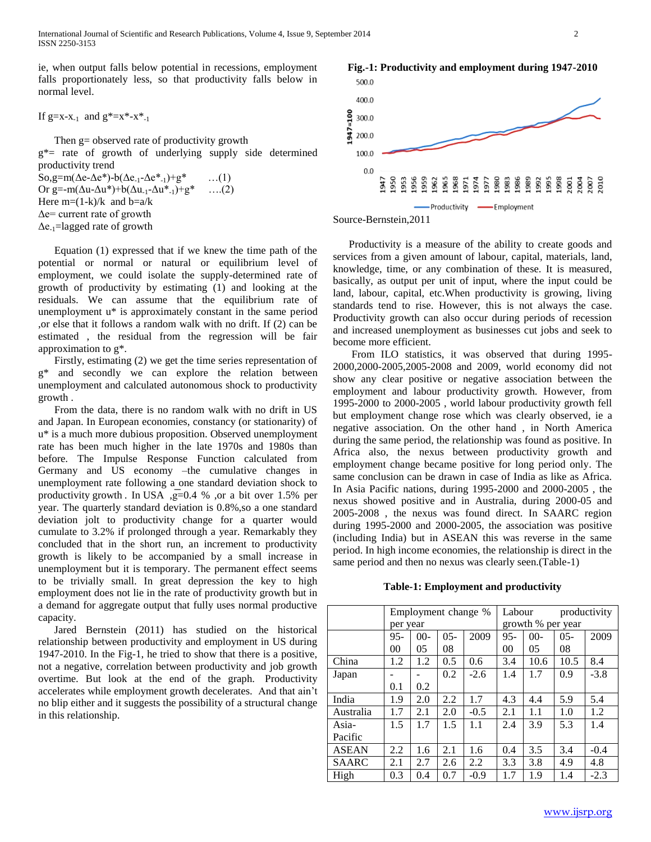ie, when output falls below potential in recessions, employment falls proportionately less, so that productivity falls below in normal level.

If  $g=x-x_{-1}$  and  $g^*=x^*-x^*_{-1}$ 

 Then g= observed rate of productivity growth g\*= rate of growth of underlying supply side determined productivity trend  $\text{So,g=m}(\Delta e - \Delta e^*) - b(\Delta e_{-1} - \Delta e^* - \Delta e^*) + g^*$  ...(1) Or g=-m( $\Delta u$ - $\Delta u^*$ )+b( $\Delta u$ <sub>-1</sub>- $\Delta u^*$ <sub>-1</sub>)+g<sup>\*</sup> ….(2) Here  $m=(1-k)/k$  and  $b=a/k$ Δe= current rate of growth  $\Delta$ e<sub>-1</sub>=lagged rate of growth

 Equation (1) expressed that if we knew the time path of the potential or normal or natural or equilibrium level of employment, we could isolate the supply-determined rate of growth of productivity by estimating (1) and looking at the residuals. We can assume that the equilibrium rate of unemployment u\* is approximately constant in the same period ,or else that it follows a random walk with no drift. If (2) can be estimated , the residual from the regression will be fair approximation to g\*.

 Firstly, estimating (2) we get the time series representation of g\* and secondly we can explore the relation between unemployment and calculated autonomous shock to productivity growth .

 From the data, there is no random walk with no drift in US and Japan. In European economies, constancy (or stationarity) of u\* is a much more dubious proposition. Observed unemployment rate has been much higher in the late 1970s and 1980s than before. The Impulse Response Function calculated from Germany and US economy –the cumulative changes in unemployment rate following a one standard deviation shock to productivity growth . In USA , g=0.4 % , or a bit over 1.5% per year. The quarterly standard deviation is 0.8%,so a one standard deviation jolt to productivity change for a quarter would cumulate to 3.2% if prolonged through a year. Remarkably they concluded that in the short run, an increment to productivity growth is likely to be accompanied by a small increase in unemployment but it is temporary. The permanent effect seems to be trivially small. In great depression the key to high employment does not lie in the rate of productivity growth but in a demand for aggregate output that fully uses normal productive capacity.

 Jared Bernstein (2011) has studied on the historical relationship between productivity and employment in US during 1947-2010. In the Fig-1, he tried to show that there is a positive, not a negative, correlation between productivity and job growth overtime. But look at the end of the graph. Productivity accelerates while employment growth decelerates. And that ain't no blip either and it suggests the possibility of a structural change in this relationship.







 Productivity is a measure of the ability to create goods and services from a given amount of labour, capital, materials, land, knowledge, time, or any combination of these. It is measured, basically, as output per unit of input, where the input could be land, labour, capital, etc.When productivity is growing, living standards tend to rise. However, this is not always the case. Productivity growth can also occur during periods of recession and increased unemployment as businesses cut jobs and seek to become more efficient.

 From ILO statistics, it was observed that during 1995- 2000,2000-2005,2005-2008 and 2009, world economy did not show any clear positive or negative association between the employment and labour productivity growth. However, from 1995-2000 to 2000-2005 , world labour productivity growth fell but employment change rose which was clearly observed, ie a negative association. On the other hand , in North America during the same period, the relationship was found as positive. In Africa also, the nexus between productivity growth and employment change became positive for long period only. The same conclusion can be drawn in case of India as like as Africa. In Asia Pacific nations, during 1995-2000 and 2000-2005 , the nexus showed positive and in Australia, during 2000-05 and 2005-2008 , the nexus was found direct. In SAARC region during 1995-2000 and 2000-2005, the association was positive (including India) but in ASEAN this was reverse in the same period. In high income economies, the relationship is direct in the same period and then no nexus was clearly seen.(Table-1)

|              | Employment change % |       |         |        | Labour            |       | productivity |        |
|--------------|---------------------|-------|---------|--------|-------------------|-------|--------------|--------|
|              | per year            |       |         |        | growth % per year |       |              |        |
|              | $95 -$              | $00-$ | $0.5 -$ | 2009   | $95 -$            | $00-$ | $0.5 -$      | 2009   |
|              | 00                  | 05    | 08      |        | 00                | 05    | 08           |        |
| China        | 1.2                 | 1.2   | 0.5     | 0.6    | 3.4               | 10.6  | 10.5         | 8.4    |
| Japan        |                     |       | 0.2     | $-2.6$ | 1.4               | 1.7   | 0.9          | $-3.8$ |
|              | 0.1                 | 0.2   |         |        |                   |       |              |        |
| India        | 1.9                 | 2.0   | 2.2     | 1.7    | 4.3               | 4.4   | 5.9          | 5.4    |
| Australia    | 1.7                 | 2.1   | 2.0     | $-0.5$ | 2.1               | 1.1   | 1.0          | 1.2    |
| Asia-        | 1.5                 | 1.7   | 1.5     | 1.1    | 2.4               | 3.9   | 5.3          | 1.4    |
| Pacific      |                     |       |         |        |                   |       |              |        |
| <b>ASEAN</b> | 2.2                 | 1.6   | 2.1     | 1.6    | 0.4               | 3.5   | 3.4          | $-0.4$ |
| <b>SAARC</b> | 2.1                 | 2.7   | 2.6     | 2.2    | 3.3               | 3.8   | 4.9          | 4.8    |
| High         | 0.3                 | 0.4   | 0.7     | $-0.9$ | 1.7               | 1.9   | 1.4          | $-2.3$ |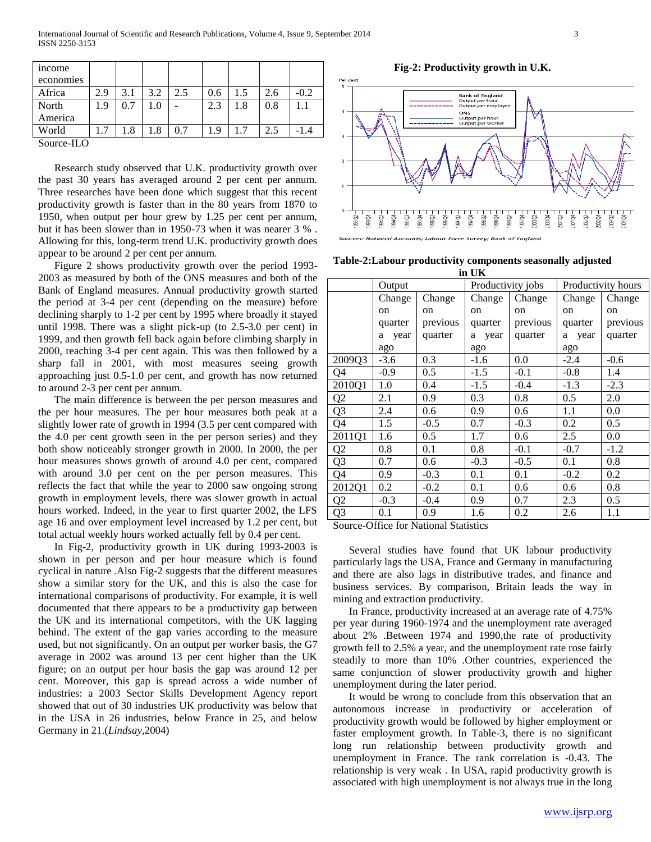| <i>n</i> come |     |      |     |     |     |     |     |        |
|---------------|-----|------|-----|-----|-----|-----|-----|--------|
| economies     |     |      |     |     |     |     |     |        |
| Africa        | 2.9 | 3.1  | 3.2 | 2.5 | 0.6 | 1.5 | 2.6 | $-0.2$ |
| North         | 1.9 | 0.7  | 0.1 |     | 2.3 | 1.8 | 0.8 |        |
| America       |     |      |     |     |     |     |     |        |
| World         | 1.7 | l .8 | .8  | 0.7 | 1.9 | 1.7 | 2.5 |        |
| Source-ILO    |     |      |     |     |     |     |     |        |

 Research study observed that U.K. productivity growth over the past 30 years has averaged around 2 per cent per annum. Three researches have been done which suggest that this recent productivity growth is faster than in the 80 years from 1870 to 1950, when output per hour grew by 1.25 per cent per annum, but it has been slower than in 1950-73 when it was nearer 3 % . Allowing for this, long-term trend U.K. productivity growth does appear to be around 2 per cent per annum.

 Figure 2 shows productivity growth over the period 1993- 2003 as measured by both of the ONS measures and both of the Bank of England measures. Annual productivity growth started the period at 3-4 per cent (depending on the measure) before declining sharply to 1-2 per cent by 1995 where broadly it stayed until 1998. There was a slight pick-up (to 2.5-3.0 per cent) in 1999, and then growth fell back again before climbing sharply in 2000, reaching 3-4 per cent again. This was then followed by a sharp fall in 2001, with most measures seeing growth approaching just 0.5-1.0 per cent, and growth has now returned to around 2-3 per cent per annum.

 The main difference is between the per person measures and the per hour measures. The per hour measures both peak at a slightly lower rate of growth in 1994 (3.5 per cent compared with the 4.0 per cent growth seen in the per person series) and they both show noticeably stronger growth in 2000. In 2000, the per hour measures shows growth of around 4.0 per cent, compared with around 3.0 per cent on the per person measures. This reflects the fact that while the year to 2000 saw ongoing strong growth in employment levels, there was slower growth in actual hours worked. Indeed, in the year to first quarter 2002, the LFS age 16 and over employment level increased by 1.2 per cent, but total actual weekly hours worked actually fell by 0.4 per cent.

 In Fig-2, productivity growth in UK during 1993-2003 is shown in per person and per hour measure which is found cyclical in nature .Also Fig-2 suggests that the different measures show a similar story for the UK, and this is also the case for international comparisons of productivity. For example, it is well documented that there appears to be a productivity gap between the UK and its international competitors, with the UK lagging behind. The extent of the gap varies according to the measure used, but not significantly. On an output per worker basis, the G7 average in 2002 was around 13 per cent higher than the UK figure; on an output per hour basis the gap was around 12 per cent. Moreover, this gap is spread across a wide number of industries: a 2003 Sector Skills Development Agency report showed that out of 30 industries UK productivity was below that in the USA in 26 industries, below France in 25, and below Germany in 21.(*Lindsay*,2004)

**Fig-2: Productivity growth in U.K.**



**Table-2:Labour productivity components seasonally adjusted** 

| in UK          |             |          |                   |               |                    |          |  |  |  |
|----------------|-------------|----------|-------------------|---------------|--------------------|----------|--|--|--|
|                | Output      |          | Productivity jobs |               | Productivity hours |          |  |  |  |
|                | Change      | Change   | Change            | Change        | Change             | Change   |  |  |  |
|                | on          | on       | on                | <sub>on</sub> | on                 | on       |  |  |  |
|                | quarter     | previous | quarter           | previous      | quarter            | previous |  |  |  |
|                | year<br>a - | quarter  | a year            | quarter       | a year             | quarter  |  |  |  |
|                | ago         |          | ago               |               | ago                |          |  |  |  |
| 2009Q3         | $-3.6$      | 0.3      | $-1.6$            | 0.0           | $-2.4$             | $-0.6$   |  |  |  |
| Q4             | $-0.9$      | 0.5      | $-1.5$            | $-0.1$        | $-0.8$             | 1.4      |  |  |  |
| 2010Q1         | 1.0         | 0.4      | $-1.5$            | $-0.4$        | $-1.3$             | $-2.3$   |  |  |  |
| Q <sub>2</sub> | 2.1         | 0.9      | 0.3               | 0.8           | 0.5                | 2.0      |  |  |  |
| Q <sub>3</sub> | 2.4         | 0.6      | 0.9               | 0.6           | 1.1                | 0.0      |  |  |  |
| Q4             | 1.5         | $-0.5$   | 0.7               | $-0.3$        | 0.2                | 0.5      |  |  |  |
| 2011Q1         | 1.6         | 0.5      | 1.7               | 0.6           | 2.5                | 0.0      |  |  |  |
| Q <sub>2</sub> | 0.8         | 0.1      | 0.8               | $-0.1$        | $-0.7$             | $-1.2$   |  |  |  |
| Q3             | 0.7         | 0.6      | $-0.3$            | $-0.5$        | 0.1                | 0.8      |  |  |  |
| Q4             | 0.9         | $-0.3$   | 0.1               | 0.1           | $-0.2$             | 0.2      |  |  |  |
| 2012Q1         | 0.2         | $-0.2$   | 0.1               | 0.6           | 0.6                | 0.8      |  |  |  |
| Q <sub>2</sub> | $-0.3$      | $-0.4$   | 0.9               | 0.7           | 2.3                | 0.5      |  |  |  |
| Q3             | 0.1         | 0.9      | 1.6               | 0.2           | 2.6                | 1.1      |  |  |  |

Source-Office for National Statistics

 Several studies have found that UK labour productivity particularly lags the USA, France and Germany in manufacturing and there are also lags in distributive trades, and finance and business services. By comparison, Britain leads the way in mining and extraction productivity.

 In France, productivity increased at an average rate of 4.75% per year during 1960-1974 and the unemployment rate averaged about 2% .Between 1974 and 1990,the rate of productivity growth fell to 2.5% a year, and the unemployment rate rose fairly steadily to more than 10% .Other countries, experienced the same conjunction of slower productivity growth and higher unemployment during the later period.

 It would be wrong to conclude from this observation that an autonomous increase in productivity or acceleration of productivity growth would be followed by higher employment or faster employment growth. In Table-3, there is no significant long run relationship between productivity growth and unemployment in France. The rank correlation is -0.43. The relationship is very weak . In USA, rapid productivity growth is associated with high unemployment is not always true in the long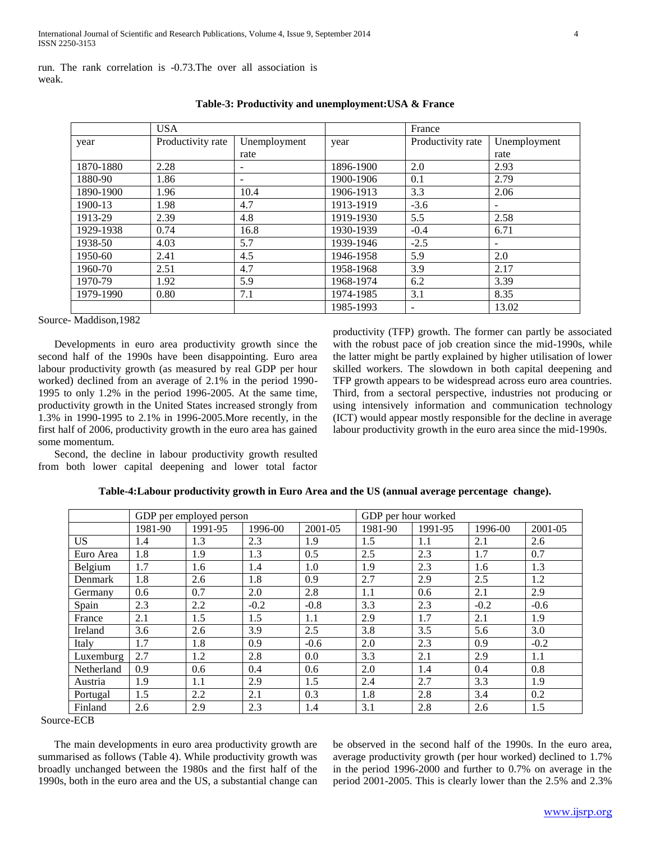run. The rank correlation is -0.73.The over all association is weak.

|           | <b>USA</b>        |              |           | France            |                          |
|-----------|-------------------|--------------|-----------|-------------------|--------------------------|
| year      | Productivity rate | Unemployment | year      | Productivity rate | Unemployment             |
|           |                   | rate         |           |                   | rate                     |
| 1870-1880 | 2.28              | ۰            | 1896-1900 | 2.0               | 2.93                     |
| 1880-90   | 1.86              |              | 1900-1906 | 0.1               | 2.79                     |
| 1890-1900 | 1.96              | 10.4         | 1906-1913 | 3.3               | 2.06                     |
| 1900-13   | 1.98              | 4.7          | 1913-1919 | $-3.6$            | $\overline{\phantom{a}}$ |
| 1913-29   | 2.39              | 4.8          | 1919-1930 | 5.5               | 2.58                     |
| 1929-1938 | 0.74              | 16.8         | 1930-1939 | $-0.4$            | 6.71                     |
| 1938-50   | 4.03              | 5.7          | 1939-1946 | $-2.5$            | $\overline{\phantom{a}}$ |
| 1950-60   | 2.41              | 4.5          | 1946-1958 | 5.9               | 2.0                      |
| 1960-70   | 2.51              | 4.7          | 1958-1968 | 3.9               | 2.17                     |
| 1970-79   | 1.92              | 5.9          | 1968-1974 | 6.2               | 3.39                     |
| 1979-1990 | 0.80              | 7.1          | 1974-1985 | 3.1               | 8.35                     |
|           |                   |              | 1985-1993 | $\overline{a}$    | 13.02                    |

# **Table-3: Productivity and unemployment:USA & France**

Source- Maddison,1982

 Developments in euro area productivity growth since the second half of the 1990s have been disappointing. Euro area labour productivity growth (as measured by real GDP per hour worked) declined from an average of 2.1% in the period 1990- 1995 to only 1.2% in the period 1996-2005. At the same time, productivity growth in the United States increased strongly from 1.3% in 1990-1995 to 2.1% in 1996-2005.More recently, in the first half of 2006, productivity growth in the euro area has gained some momentum.

 Second, the decline in labour productivity growth resulted from both lower capital deepening and lower total factor productivity (TFP) growth. The former can partly be associated with the robust pace of job creation since the mid-1990s, while the latter might be partly explained by higher utilisation of lower skilled workers. The slowdown in both capital deepening and TFP growth appears to be widespread across euro area countries. Third, from a sectoral perspective, industries not producing or using intensively information and communication technology (ICT) would appear mostly responsible for the decline in average labour productivity growth in the euro area since the mid-1990s.

|            | GDP per employed person |         |         | GDP per hour worked |         |         |         |         |
|------------|-------------------------|---------|---------|---------------------|---------|---------|---------|---------|
|            | 1981-90                 | 1991-95 | 1996-00 | 2001-05             | 1981-90 | 1991-95 | 1996-00 | 2001-05 |
| US.        | 1.4                     | 1.3     | 2.3     | 1.9                 | 1.5     | 1.1     | 2.1     | 2.6     |
| Euro Area  | 1.8                     | 1.9     | 1.3     | 0.5                 | 2.5     | 2.3     | 1.7     | 0.7     |
| Belgium    | 1.7                     | 1.6     | 1.4     | 1.0                 | 1.9     | 2.3     | 1.6     | 1.3     |
| Denmark    | 1.8                     | 2.6     | 1.8     | 0.9                 | 2.7     | 2.9     | 2.5     | 1.2     |
| Germany    | 0.6                     | 0.7     | 2.0     | 2.8                 | 1.1     | 0.6     | 2.1     | 2.9     |
| Spain      | 2.3                     | 2.2     | $-0.2$  | $-0.8$              | 3.3     | 2.3     | $-0.2$  | $-0.6$  |
| France     | 2.1                     | 1.5     | 1.5     | 1.1                 | 2.9     | 1.7     | 2.1     | 1.9     |
| Ireland    | 3.6                     | 2.6     | 3.9     | 2.5                 | 3.8     | 3.5     | 5.6     | 3.0     |
| Italy      | 1.7                     | 1.8     | 0.9     | $-0.6$              | 2.0     | 2.3     | 0.9     | $-0.2$  |
| Luxemburg  | 2.7                     | 1.2     | 2.8     | 0.0                 | 3.3     | 2.1     | 2.9     | 1.1     |
| Netherland | 0.9                     | 0.6     | 0.4     | 0.6                 | 2.0     | 1.4     | 0.4     | 0.8     |
| Austria    | 1.9                     | 1.1     | 2.9     | 1.5                 | 2.4     | 2.7     | 3.3     | 1.9     |
| Portugal   | 1.5                     | 2.2     | 2.1     | 0.3                 | 1.8     | 2.8     | 3.4     | 0.2     |
| Finland    | 2.6                     | 2.9     | 2.3     | 1.4                 | 3.1     | 2.8     | 2.6     | 1.5     |

# **Table-4:Labour productivity growth in Euro Area and the US (annual average percentage change).**

Source-ECB

 The main developments in euro area productivity growth are summarised as follows (Table 4). While productivity growth was broadly unchanged between the 1980s and the first half of the 1990s, both in the euro area and the US, a substantial change can be observed in the second half of the 1990s. In the euro area, average productivity growth (per hour worked) declined to 1.7% in the period 1996-2000 and further to 0.7% on average in the period 2001-2005. This is clearly lower than the 2.5% and 2.3%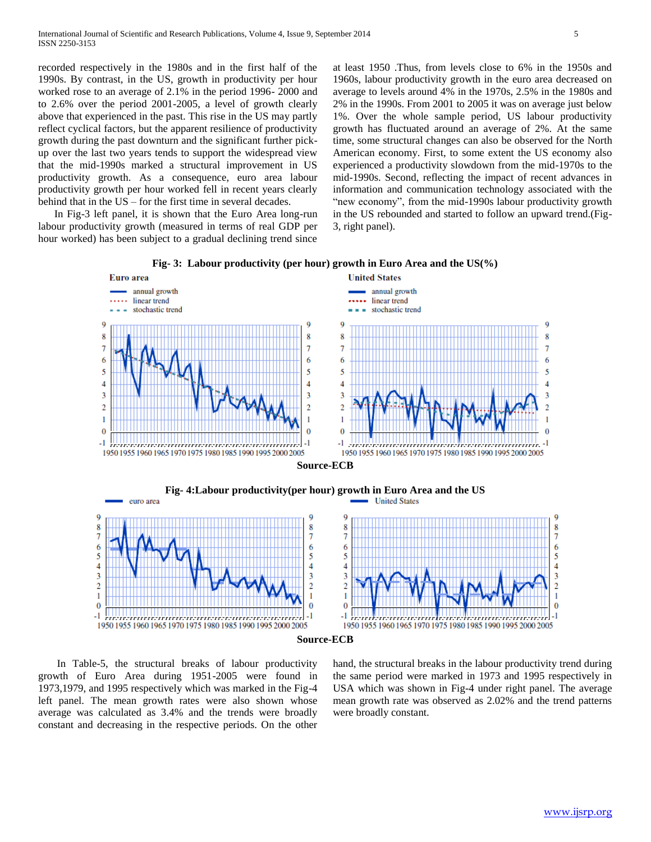recorded respectively in the 1980s and in the first half of the 1990s. By contrast, in the US, growth in productivity per hour worked rose to an average of 2.1% in the period 1996- 2000 and to 2.6% over the period 2001-2005, a level of growth clearly above that experienced in the past. This rise in the US may partly reflect cyclical factors, but the apparent resilience of productivity growth during the past downturn and the significant further pickup over the last two years tends to support the widespread view that the mid-1990s marked a structural improvement in US productivity growth. As a consequence, euro area labour productivity growth per hour worked fell in recent years clearly behind that in the US – for the first time in several decades.

 In Fig-3 left panel, it is shown that the Euro Area long-run labour productivity growth (measured in terms of real GDP per hour worked) has been subject to a gradual declining trend since

at least 1950 .Thus, from levels close to 6% in the 1950s and 1960s, labour productivity growth in the euro area decreased on average to levels around 4% in the 1970s, 2.5% in the 1980s and 2% in the 1990s. From 2001 to 2005 it was on average just below 1%. Over the whole sample period, US labour productivity growth has fluctuated around an average of 2%. At the same time, some structural changes can also be observed for the North American economy. First, to some extent the US economy also experienced a productivity slowdown from the mid-1970s to the mid-1990s. Second, reflecting the impact of recent advances in information and communication technology associated with the "new economy", from the mid-1990s labour productivity growth in the US rebounded and started to follow an upward trend.(Fig-3, right panel).



**Fig- 3: Labour productivity (per hour) growth in Euro Area and the US(%)**

 In Table-5, the structural breaks of labour productivity growth of Euro Area during 1951-2005 were found in 1973,1979, and 1995 respectively which was marked in the Fig-4 left panel. The mean growth rates were also shown whose average was calculated as 3.4% and the trends were broadly constant and decreasing in the respective periods. On the other

hand, the structural breaks in the labour productivity trend during the same period were marked in 1973 and 1995 respectively in USA which was shown in Fig-4 under right panel. The average mean growth rate was observed as 2.02% and the trend patterns were broadly constant.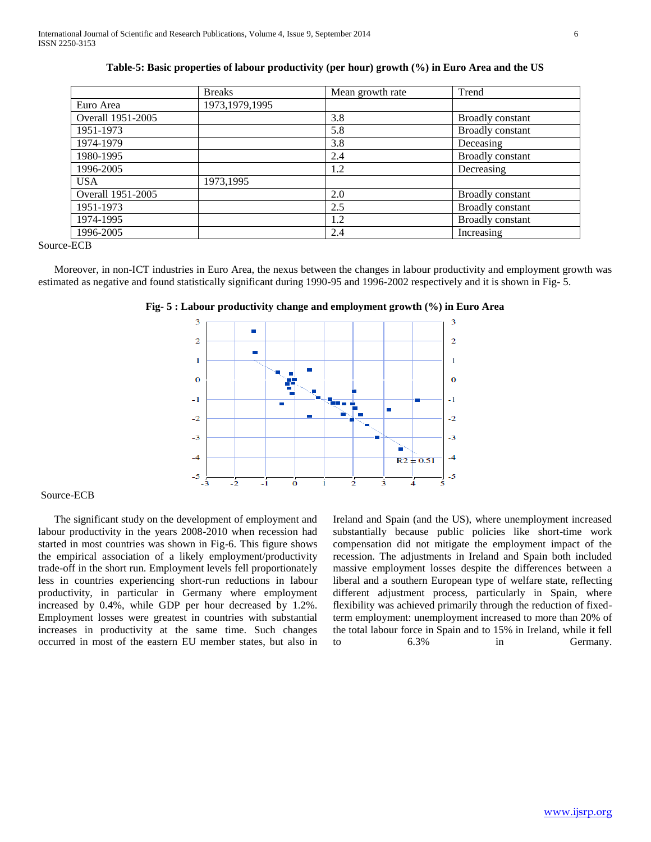|                   | <b>Breaks</b>    | Mean growth rate | Trend                   |
|-------------------|------------------|------------------|-------------------------|
| Euro Area         | 1973, 1979, 1995 |                  |                         |
| Overall 1951-2005 |                  | 3.8              | <b>Broadly constant</b> |
| 1951-1973         |                  | 5.8              | <b>Broadly constant</b> |
| 1974-1979         |                  | 3.8              | Deceasing               |
| 1980-1995         |                  | 2.4              | <b>Broadly constant</b> |
| 1996-2005         |                  | 1.2              | Decreasing              |
| <b>USA</b>        | 1973,1995        |                  |                         |
| Overall 1951-2005 |                  | 2.0              | <b>Broadly constant</b> |
| 1951-1973         |                  | 2.5              | <b>Broadly constant</b> |
| 1974-1995         |                  | 1.2              | <b>Broadly constant</b> |
| 1996-2005         |                  | 2.4              | Increasing              |

**Table-5: Basic properties of labour productivity (per hour) growth (%) in Euro Area and the US**

Source-ECB

 Moreover, in non-ICT industries in Euro Area, the nexus between the changes in labour productivity and employment growth was estimated as negative and found statistically significant during 1990-95 and 1996-2002 respectively and it is shown in Fig- 5.





#### Source-ECB

 The significant study on the development of employment and labour productivity in the years 2008-2010 when recession had started in most countries was shown in Fig-6. This figure shows the empirical association of a likely employment/productivity trade-off in the short run. Employment levels fell proportionately less in countries experiencing short-run reductions in labour productivity, in particular in Germany where employment increased by 0.4%, while GDP per hour decreased by 1.2%. Employment losses were greatest in countries with substantial increases in productivity at the same time. Such changes occurred in most of the eastern EU member states, but also in

Ireland and Spain (and the US), where unemployment increased substantially because public policies like short-time work compensation did not mitigate the employment impact of the recession. The adjustments in Ireland and Spain both included massive employment losses despite the differences between a liberal and a southern European type of welfare state, reflecting different adjustment process, particularly in Spain, where flexibility was achieved primarily through the reduction of fixedterm employment: unemployment increased to more than 20% of the total labour force in Spain and to 15% in Ireland, while it fell to 6.3% in Germany.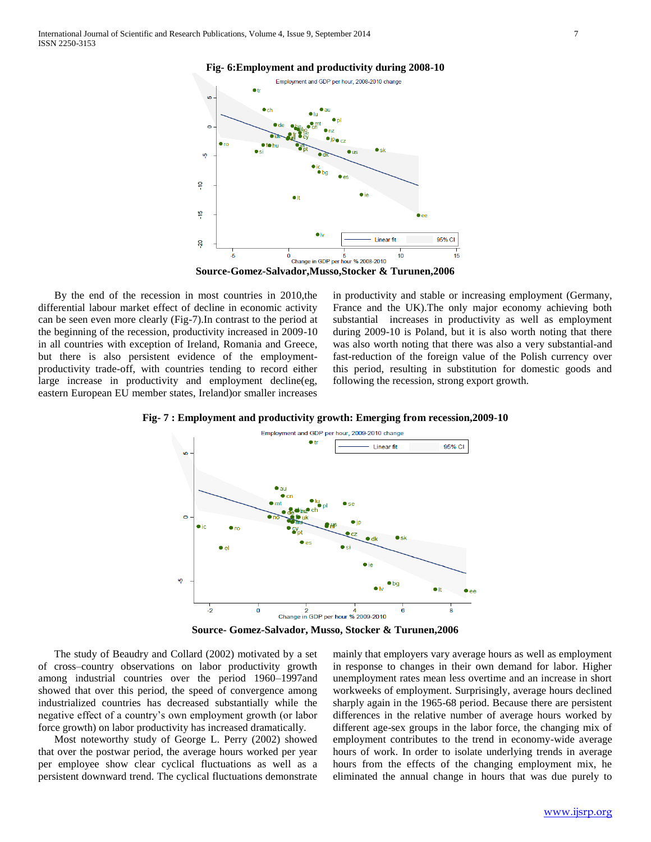

 By the end of the recession in most countries in 2010,the differential labour market effect of decline in economic activity can be seen even more clearly (Fig-7).In contrast to the period at the beginning of the recession, productivity increased in 2009-10 in all countries with exception of Ireland, Romania and Greece, but there is also persistent evidence of the employmentproductivity trade-off, with countries tending to record either large increase in productivity and employment decline(eg, eastern European EU member states, Ireland)or smaller increases in productivity and stable or increasing employment (Germany, France and the UK).The only major economy achieving both substantial increases in productivity as well as employment during 2009-10 is Poland, but it is also worth noting that there was also worth noting that there was also a very substantial-and fast-reduction of the foreign value of the Polish currency over this period, resulting in substitution for domestic goods and following the recession, strong export growth.





**Source- Gomez-Salvador, Musso, Stocker & Turunen,2006**

 The study of Beaudry and Collard (2002) motivated by a set of cross–country observations on labor productivity growth among industrial countries over the period 1960–1997and showed that over this period, the speed of convergence among industrialized countries has decreased substantially while the negative effect of a country's own employment growth (or labor force growth) on labor productivity has increased dramatically.

 Most noteworthy study of George L. Perry (2002) showed that over the postwar period, the average hours worked per year per employee show clear cyclical fluctuations as well as a persistent downward trend. The cyclical fluctuations demonstrate

mainly that employers vary average hours as well as employment in response to changes in their own demand for labor. Higher unemployment rates mean less overtime and an increase in short workweeks of employment. Surprisingly, average hours declined sharply again in the 1965-68 period. Because there are persistent differences in the relative number of average hours worked by different age-sex groups in the labor force, the changing mix of employment contributes to the trend in economy-wide average hours of work. In order to isolate underlying trends in average hours from the effects of the changing employment mix, he eliminated the annual change in hours that was due purely to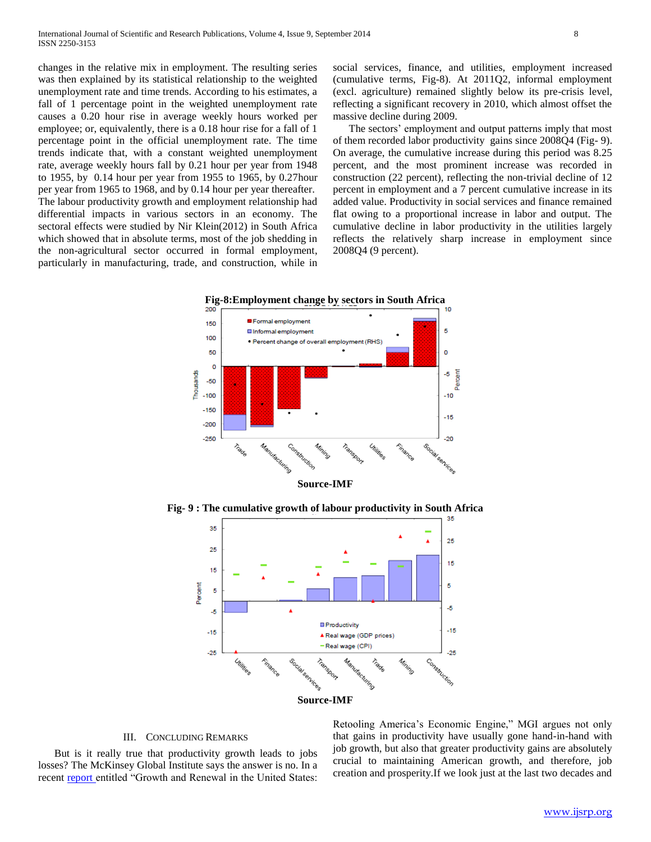changes in the relative mix in employment. The resulting series was then explained by its statistical relationship to the weighted unemployment rate and time trends. According to his estimates, a fall of 1 percentage point in the weighted unemployment rate causes a 0.20 hour rise in average weekly hours worked per employee; or, equivalently, there is a 0.18 hour rise for a fall of 1 percentage point in the official unemployment rate. The time trends indicate that, with a constant weighted unemployment rate, average weekly hours fall by 0.21 hour per year from 1948 to 1955, by 0.14 hour per year from 1955 to 1965, by 0.27hour per year from 1965 to 1968, and by 0.14 hour per year thereafter. The labour productivity growth and employment relationship had differential impacts in various sectors in an economy. The sectoral effects were studied by Nir Klein(2012) in South Africa which showed that in absolute terms, most of the job shedding in the non-agricultural sector occurred in formal employment, particularly in manufacturing, trade, and construction, while in

social services, finance, and utilities, employment increased (cumulative terms, Fig-8). At 2011Q2, informal employment (excl. agriculture) remained slightly below its pre-crisis level, reflecting a significant recovery in 2010, which almost offset the massive decline during 2009.

 The sectors' employment and output patterns imply that most of them recorded labor productivity gains since 2008Q4 (Fig- 9). On average, the cumulative increase during this period was 8.25 percent, and the most prominent increase was recorded in construction (22 percent), reflecting the non-trivial decline of 12 percent in employment and a 7 percent cumulative increase in its added value. Productivity in social services and finance remained flat owing to a proportional increase in labor and output. The cumulative decline in labor productivity in the utilities largely reflects the relatively sharp increase in employment since 2008Q4 (9 percent).



**Fig- 9 : The cumulative growth of labour productivity in South Africa**



### III. CONCLUDING REMARKS

 But is it really true that productivity growth leads to jobs losses? The McKinsey Global Institute says the answer is no. In a recent [report e](http://www.mckinsey.com/mgi/publications/growth_and_renewal_in_the_us/index.asp)ntitled "Growth and Renewal in the United States: Retooling America's Economic Engine," MGI argues not only that gains in productivity have usually gone hand-in-hand with job growth, but also that greater productivity gains are absolutely crucial to maintaining American growth, and therefore, job creation and prosperity.If we look just at the last two decades and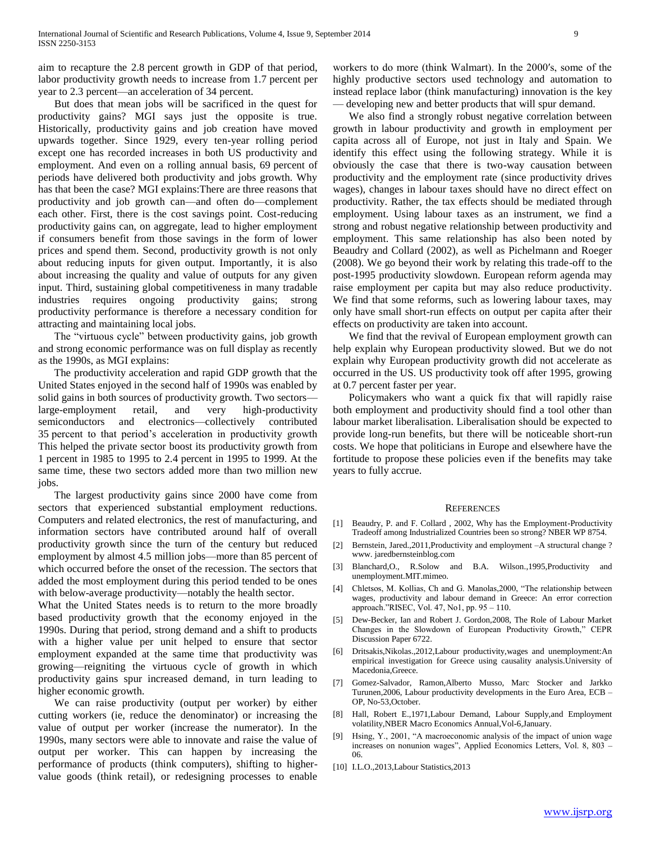aim to recapture the 2.8 percent growth in GDP of that period, labor productivity growth needs to increase from 1.7 percent per year to 2.3 percent—an acceleration of 34 percent.

 But does that mean jobs will be sacrificed in the quest for productivity gains? MGI says just the opposite is true. Historically, productivity gains and job creation have moved upwards together. Since 1929, every ten-year rolling period except one has recorded increases in both US productivity and employment. And even on a rolling annual basis, 69 percent of periods have delivered both productivity and jobs growth. Why has that been the case? MGI explains:There are three reasons that productivity and job growth can—and often do—complement each other. First, there is the cost savings point. Cost-reducing productivity gains can, on aggregate, lead to higher employment if consumers benefit from those savings in the form of lower prices and spend them. Second, productivity growth is not only about reducing inputs for given output. Importantly, it is also about increasing the quality and value of outputs for any given input. Third, sustaining global competitiveness in many tradable industries requires ongoing productivity gains; strong productivity performance is therefore a necessary condition for attracting and maintaining local jobs.

The "virtuous cycle" between productivity gains, job growth and strong economic performance was on full display as recently as the 1990s, as MGI explains:

 The productivity acceleration and rapid GDP growth that the United States enjoyed in the second half of 1990s was enabled by solid gains in both sources of productivity growth. Two sectors large-employment retail, and very high-productivity semiconductors and electronics—collectively contributed 35 percent to that period's acceleration in productivity growth This helped the private sector boost its productivity growth from 1 percent in 1985 to 1995 to 2.4 percent in 1995 to 1999. At the same time, these two sectors added more than two million new jobs.

 The largest productivity gains since 2000 have come from sectors that experienced substantial employment reductions. Computers and related electronics, the rest of manufacturing, and information sectors have contributed around half of overall productivity growth since the turn of the century but reduced employment by almost 4.5 million jobs—more than 85 percent of which occurred before the onset of the recession. The sectors that added the most employment during this period tended to be ones with below-average productivity—notably the health sector.

What the United States needs is to return to the more broadly based productivity growth that the economy enjoyed in the 1990s. During that period, strong demand and a shift to products with a higher value per unit helped to ensure that sector employment expanded at the same time that productivity was growing—reigniting the virtuous cycle of growth in which productivity gains spur increased demand, in turn leading to higher economic growth.

 We can raise productivity (output per worker) by either cutting workers (ie, reduce the denominator) or increasing the value of output per worker (increase the numerator). In the 1990s, many sectors were able to innovate and raise the value of output per worker. This can happen by increasing the performance of products (think computers), shifting to highervalue goods (think retail), or redesigning processes to enable

workers to do more (think Walmart). In the 2000′s, some of the highly productive sectors used technology and automation to instead replace labor (think manufacturing) innovation is the key — developing new and better products that will spur demand.

 We also find a strongly robust negative correlation between growth in labour productivity and growth in employment per capita across all of Europe, not just in Italy and Spain. We identify this effect using the following strategy. While it is obviously the case that there is two-way causation between productivity and the employment rate (since productivity drives wages), changes in labour taxes should have no direct effect on productivity. Rather, the tax effects should be mediated through employment. Using labour taxes as an instrument, we find a strong and robust negative relationship between productivity and employment. This same relationship has also been noted by Beaudry and Collard (2002), as well as Pichelmann and Roeger (2008). We go beyond their work by relating this trade-off to the post-1995 productivity slowdown. European reform agenda may raise employment per capita but may also reduce productivity. We find that some reforms, such as lowering labour taxes, may only have small short-run effects on output per capita after their effects on productivity are taken into account.

 We find that the revival of European employment growth can help explain why European productivity slowed. But we do not explain why European productivity growth did not accelerate as occurred in the US. US productivity took off after 1995, growing at 0.7 percent faster per year.

 Policymakers who want a quick fix that will rapidly raise both employment and productivity should find a tool other than labour market liberalisation. Liberalisation should be expected to provide long-run benefits, but there will be noticeable short-run costs. We hope that politicians in Europe and elsewhere have the fortitude to propose these policies even if the benefits may take years to fully accrue.

#### **REFERENCES**

- [1] Beaudry, P. and F. Collard, 2002, Why has the Employment-Productivity Tradeoff among Industrialized Countries been so strong? NBER WP 8754.
- [2] Bernstein, Jared., 2011, Productivity and employment -A structural change ? www. jaredbernsteinblog.com
- [3] Blanchard,O., R.Solow and B.A. Wilson.,1995,Productivity and unemployment.MIT.mimeo.
- [4] Chletsos, M. Kollias, Ch and G. Manolas, 2000, "The relationship between wages, productivity and labour demand in Greece: An error correction approach.‖RISEC, Vol. 47, No1, pp. 95 – 110.
- [5] Dew-Becker, Ian and Robert J. Gordon,2008, The Role of Labour Market Changes in the Slowdown of European Productivity Growth," CEPR Discussion Paper 6722.
- [6] Dritsakis,Nikolas.,2012,Labour productivity,wages and unemployment:An empirical investigation for Greece using causality analysis.University of Macedonia,Greece.
- [7] Gomez-Salvador, Ramon,Alberto Musso, Marc Stocker and Jarkko Turunen,2006, Labour productivity developments in the Euro Area, ECB – OP, No-53,October.
- [8] Hall, Robert E.,1971,Labour Demand, Labour Supply,and Employment volatility,NBER Macro Economics Annual,Vol-6,January.
- [9] Hsing, Y., 2001, "A macroeconomic analysis of the impact of union wage increases on nonunion wages", Applied Economics Letters, Vol. 8, 803 -06.
- [10] I.L.O.,2013,Labour Statistics,2013